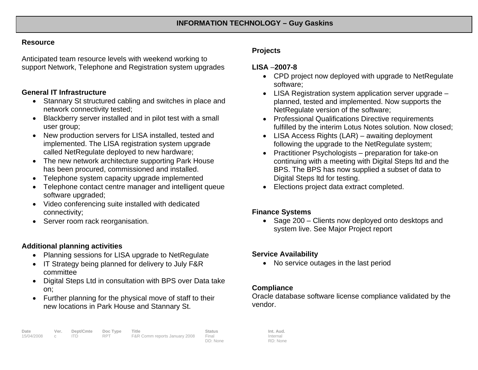#### **Resource**

Anticipated team resource levels with weekend working to support Network, Telephone and Registration system upgrades

## **General IT Infrastructure**

- Stannary St structured cabling and switches in place and network connectivity tested;
- Blackberry server installed and in pilot test with a small user group;
- New production servers for LISA installed, tested and implemented. The LISA registration system upgrade called NetRegulate deployed to new hardware;
- The new network architecture supporting Park House has been procured, commissioned and installed.
- Telephone system capacity upgrade implemented
- Telephone contact centre manager and intelligent queue software upgraded;
- Video conferencing suite installed with dedicated connectivity;
- Server room rack reorganisation.

# **Additional planning activities**

- Planning sessions for LISA upgrade to NetRegulate
- IT Strategy being planned for delivery to July F&R committee
- Digital Steps Ltd in consultation with BPS over Data take on;
- Further planning for the physical move of staff to their new locations in Park House and Stannary St.

# **Projects**

# **LISA** –**2007-8**

- CPD project now deployed with upgrade to NetRegulate software;
- LISA Registration system application server upgrade planned, tested and implemented. Now supports the NetRegulate version of the software;
- Professional Qualifications Directive requirements fulfilled by the interim Lotus Notes solution. Now closed;
- LISA Access Rights (LAR) awaiting deployment following the upgrade to the NetRegulate system;
- Practitioner Psychologists preparation for take-on continuing with a meeting with Digital Steps ltd and the BPS. The BPS has now supplied a subset of data to Digital Steps ltd for testing.
- Elections project data extract completed.

# **Finance Systems**

• Sage 200 – Clients now deployed onto desktops and system live. See Major Project report

#### **Service Availability**

• No service outages in the last period

# **Compliance**

Oracle database software license compliance validated by the vendor.

Internal RD: None

DD: None